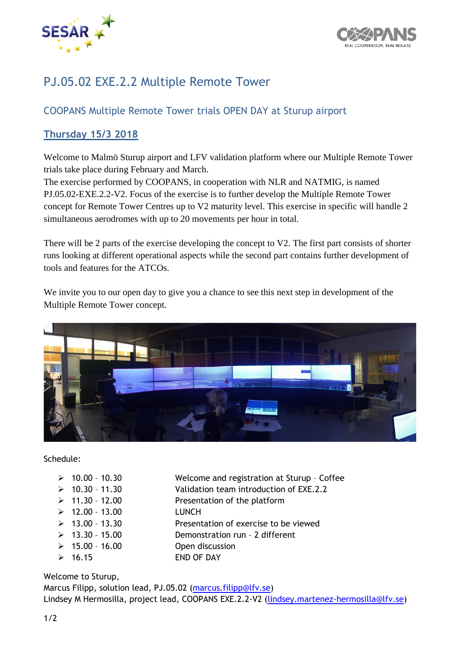



## PJ.05.02 EXE.2.2 Multiple Remote Tower

## COOPANS Multiple Remote Tower trials OPEN DAY at Sturup airport

## **Thursday 15/3 2018**

Welcome to Malmö Sturup airport and LFV validation platform where our Multiple Remote Tower trials take place during February and March.

The exercise performed by COOPANS, in cooperation with NLR and NATMIG, is named PJ.05.02-EXE.2.2-V2. Focus of the exercise is to further develop the Multiple Remote Tower concept for Remote Tower Centres up to V2 maturity level. This exercise in specific will handle 2 simultaneous aerodromes with up to 20 movements per hour in total.

There will be 2 parts of the exercise developing the concept to V2. The first part consists of shorter runs looking at different operational aspects while the second part contains further development of tools and features for the ATCOs.

We invite you to our open day to give you a chance to see this next step in development of the Multiple Remote Tower concept.



Schedule:

- 12.00 13.00 LUNCH
- 10.00 10.30 Welcome and registration at Sturup Coffee
- $\geq 10.30 11.30$  Validation team introduction of EXE.2.2
- $\geq 11.30 12.00$  Presentation of the platform
	-
- $\geq 13.00 13.30$  Presentation of exercise to be viewed
- 13.30 15.00 Demonstration run 2 different
- $\geq 15.00 16.00$  Open discussion
- $\geq 16.15$  END OF DAY

Welcome to Sturup,

Marcus Filipp, solution lead, PJ.05.02 [\(marcus.filipp@lfv.se\)](mailto:marcus.filipp@lfv.se) Lindsey M Hermosilla, project lead, COOPANS EXE.2.2-V2 [\(lindsey.martenez-hermosilla@lfv.se\)](mailto:lindsey.martenez-hermosilla@lfv.se)